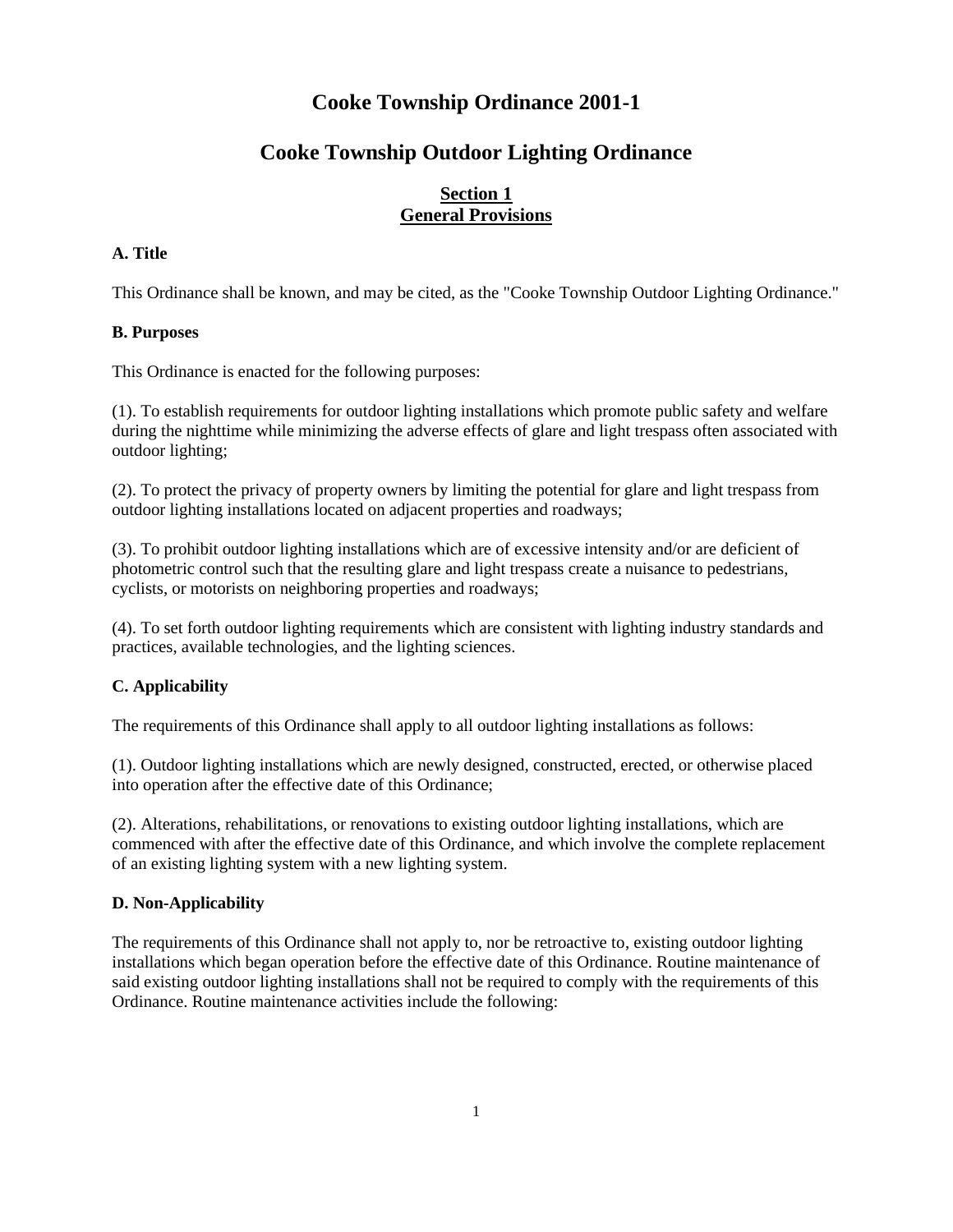# **Cooke Township Ordinance 2001-1**

# **Cooke Township Outdoor Lighting Ordinance**

# **Section 1 General Provisions**

# **A. Title**

This Ordinance shall be known, and may be cited, as the "Cooke Township Outdoor Lighting Ordinance."

### **B. Purposes**

This Ordinance is enacted for the following purposes:

(1). To establish requirements for outdoor lighting installations which promote public safety and welfare during the nighttime while minimizing the adverse effects of glare and light trespass often associated with outdoor lighting;

(2). To protect the privacy of property owners by limiting the potential for glare and light trespass from outdoor lighting installations located on adjacent properties and roadways;

(3). To prohibit outdoor lighting installations which are of excessive intensity and/or are deficient of photometric control such that the resulting glare and light trespass create a nuisance to pedestrians, cyclists, or motorists on neighboring properties and roadways;

(4). To set forth outdoor lighting requirements which are consistent with lighting industry standards and practices, available technologies, and the lighting sciences.

# **C. Applicability**

The requirements of this Ordinance shall apply to all outdoor lighting installations as follows:

(1). Outdoor lighting installations which are newly designed, constructed, erected, or otherwise placed into operation after the effective date of this Ordinance;

(2). Alterations, rehabilitations, or renovations to existing outdoor lighting installations, which are commenced with after the effective date of this Ordinance, and which involve the complete replacement of an existing lighting system with a new lighting system.

# **D. Non-Applicability**

The requirements of this Ordinance shall not apply to, nor be retroactive to, existing outdoor lighting installations which began operation before the effective date of this Ordinance. Routine maintenance of said existing outdoor lighting installations shall not be required to comply with the requirements of this Ordinance. Routine maintenance activities include the following: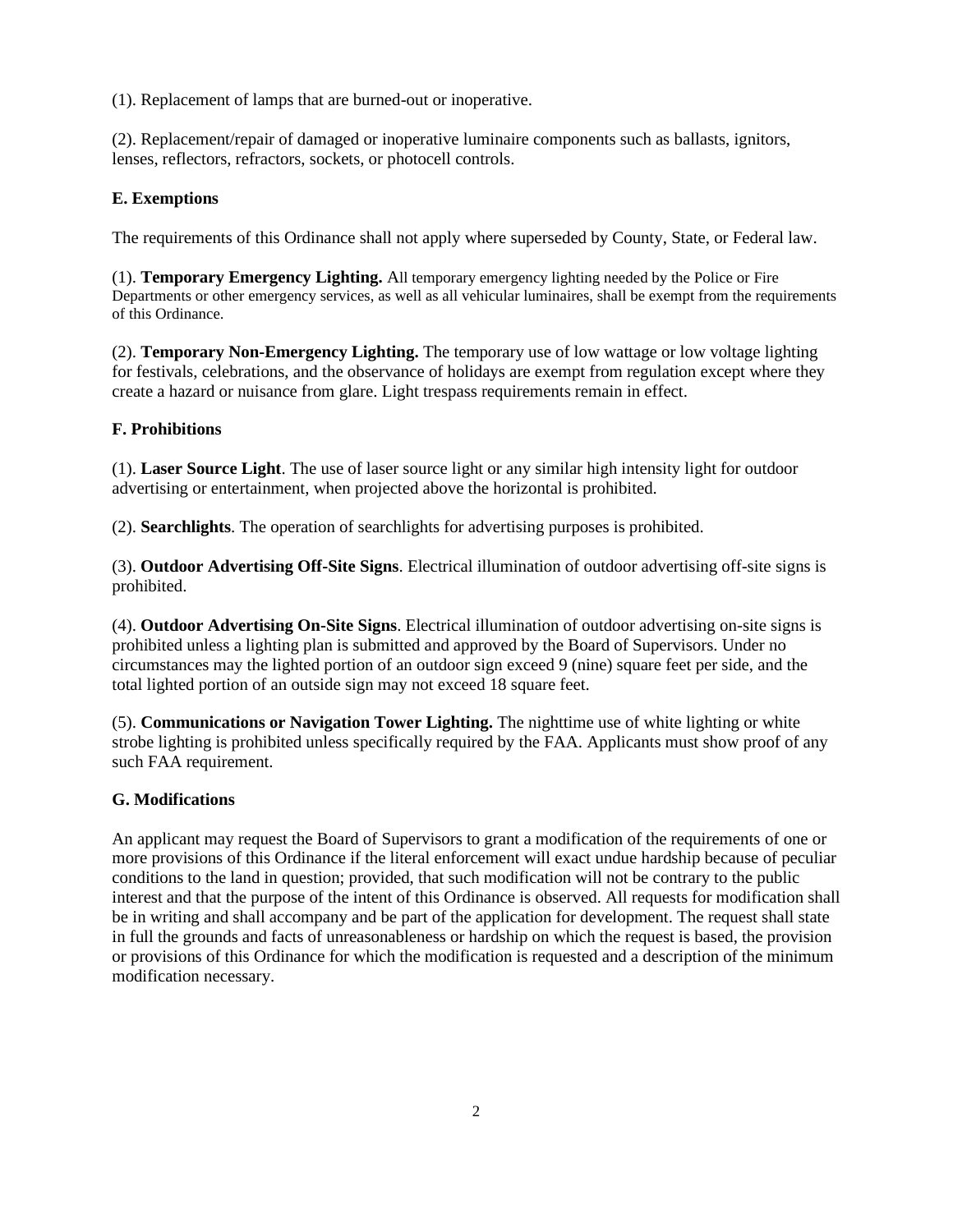(1). Replacement of lamps that are burned-out or inoperative.

(2). Replacement/repair of damaged or inoperative luminaire components such as ballasts, ignitors, lenses, reflectors, refractors, sockets, or photocell controls.

### **E. Exemptions**

The requirements of this Ordinance shall not apply where superseded by County, State, or Federal law.

(1). **Temporary Emergency Lighting.** All temporary emergency lighting needed by the Police or Fire Departments or other emergency services, as well as all vehicular luminaires, shall be exempt from the requirements of this Ordinance.

(2). **Temporary Non-Emergency Lighting.** The temporary use of low wattage or low voltage lighting for festivals, celebrations, and the observance of holidays are exempt from regulation except where they create a hazard or nuisance from glare. Light trespass requirements remain in effect.

### **F. Prohibitions**

(1). **Laser Source Light**. The use of laser source light or any similar high intensity light for outdoor advertising or entertainment, when projected above the horizontal is prohibited.

(2). **Searchlights**. The operation of searchlights for advertising purposes is prohibited.

(3). **Outdoor Advertising Off-Site Signs**. Electrical illumination of outdoor advertising off-site signs is prohibited.

(4). **Outdoor Advertising On-Site Signs**. Electrical illumination of outdoor advertising on-site signs is prohibited unless a lighting plan is submitted and approved by the Board of Supervisors. Under no circumstances may the lighted portion of an outdoor sign exceed 9 (nine) square feet per side, and the total lighted portion of an outside sign may not exceed 18 square feet.

(5). **Communications or Navigation Tower Lighting.** The nighttime use of white lighting or white strobe lighting is prohibited unless specifically required by the FAA. Applicants must show proof of any such FAA requirement.

#### **G. Modifications**

An applicant may request the Board of Supervisors to grant a modification of the requirements of one or more provisions of this Ordinance if the literal enforcement will exact undue hardship because of peculiar conditions to the land in question; provided, that such modification will not be contrary to the public interest and that the purpose of the intent of this Ordinance is observed. All requests for modification shall be in writing and shall accompany and be part of the application for development. The request shall state in full the grounds and facts of unreasonableness or hardship on which the request is based, the provision or provisions of this Ordinance for which the modification is requested and a description of the minimum modification necessary.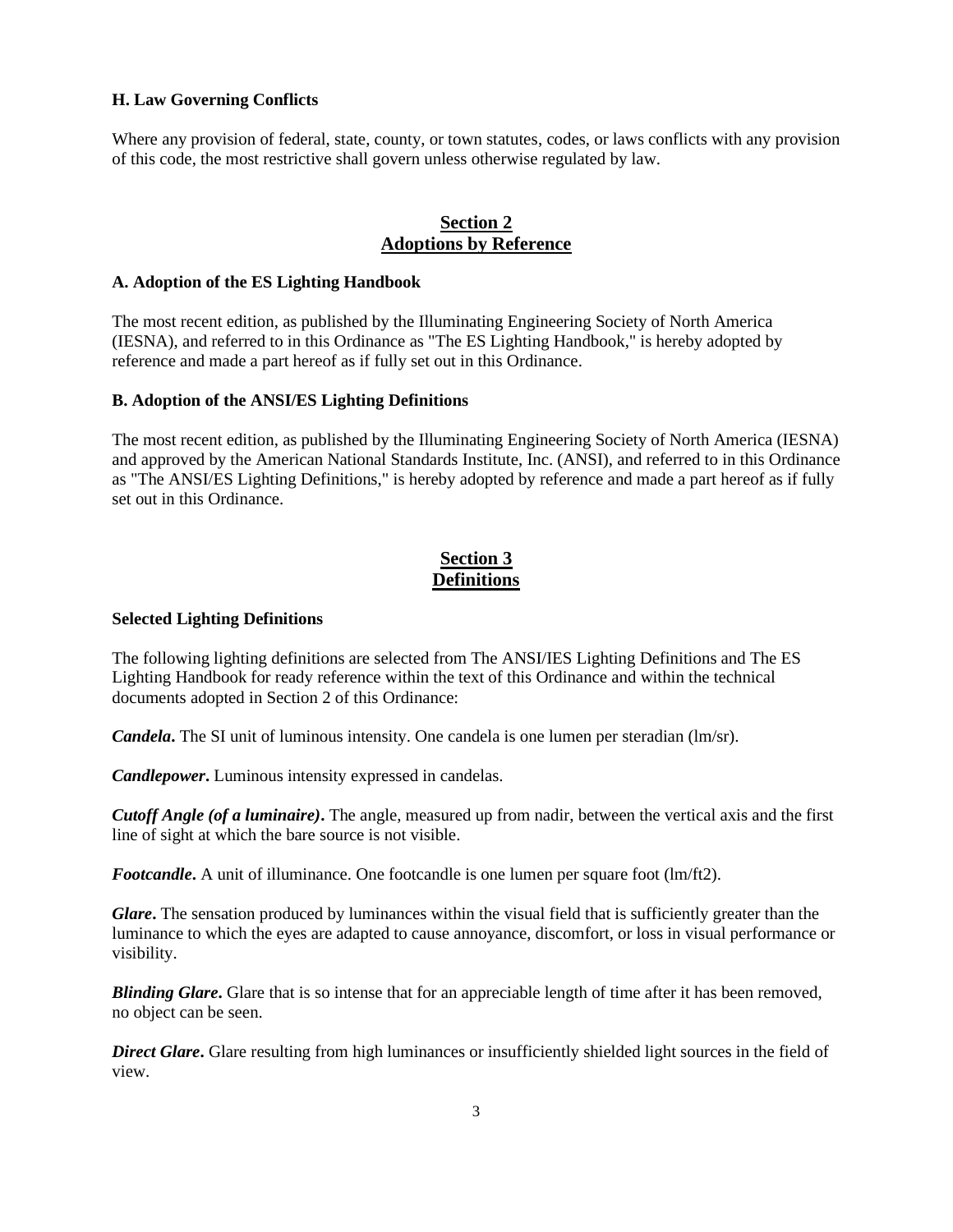### **H. Law Governing Conflicts**

Where any provision of federal, state, county, or town statutes, codes, or laws conflicts with any provision of this code, the most restrictive shall govern unless otherwise regulated by law.

# **Section 2 Adoptions by Reference**

#### **A. Adoption of the ES Lighting Handbook**

The most recent edition, as published by the Illuminating Engineering Society of North America (IESNA), and referred to in this Ordinance as "The ES Lighting Handbook," is hereby adopted by reference and made a part hereof as if fully set out in this Ordinance.

#### **B. Adoption of the ANSI/ES Lighting Definitions**

The most recent edition, as published by the Illuminating Engineering Society of North America (IESNA) and approved by the American National Standards Institute, Inc. (ANSI), and referred to in this Ordinance as "The ANSI/ES Lighting Definitions," is hereby adopted by reference and made a part hereof as if fully set out in this Ordinance.

# **Section 3 Definitions**

#### **Selected Lighting Definitions**

The following lighting definitions are selected from The ANSI/IES Lighting Definitions and The ES Lighting Handbook for ready reference within the text of this Ordinance and within the technical documents adopted in Section 2 of this Ordinance:

*Candela***.** The SI unit of luminous intensity. One candela is one lumen per steradian (lm/sr).

*Candlepower***.** Luminous intensity expressed in candelas.

*Cutoff Angle (of a luminaire)***.** The angle, measured up from nadir, between the vertical axis and the first line of sight at which the bare source is not visible.

*Footcandle*. A unit of illuminance. One footcandle is one lumen per square foot (lm/ft2).

*Glare***.** The sensation produced by luminances within the visual field that is sufficiently greater than the luminance to which the eyes are adapted to cause annoyance, discomfort, or loss in visual performance or visibility.

*Blinding Glare***.** Glare that is so intense that for an appreciable length of time after it has been removed, no object can be seen.

*Direct Glare***.** Glare resulting from high luminances or insufficiently shielded light sources in the field of view.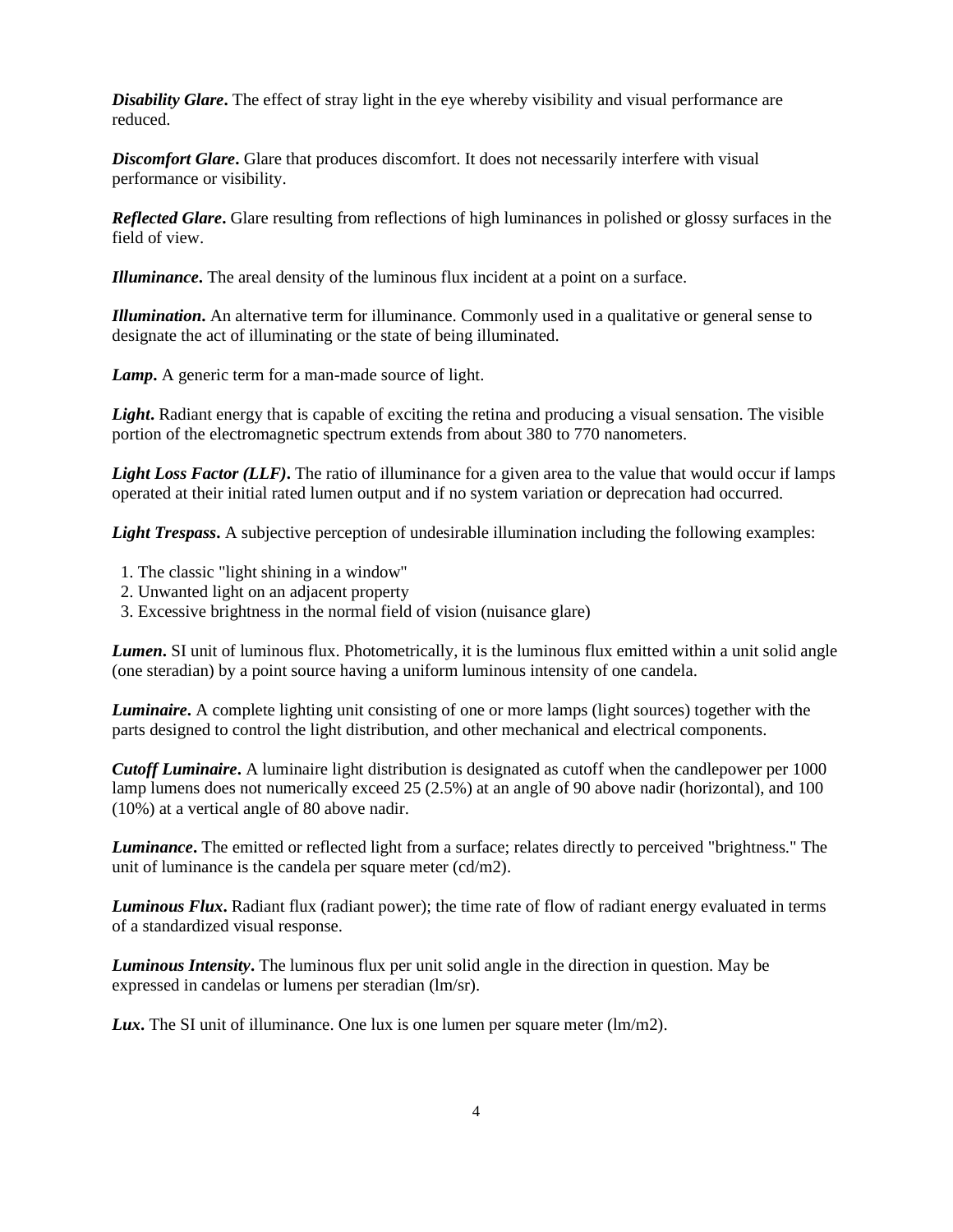*Disability Glare*. The effect of stray light in the eye whereby visibility and visual performance are reduced.

**Discomfort Glare.** Glare that produces discomfort. It does not necessarily interfere with visual performance or visibility.

*Reflected Glare***.** Glare resulting from reflections of high luminances in polished or glossy surfaces in the field of view.

*Illuminance***.** The areal density of the luminous flux incident at a point on a surface.

*Illumination***.** An alternative term for illuminance. Commonly used in a qualitative or general sense to designate the act of illuminating or the state of being illuminated.

*Lamp***.** A generic term for a man-made source of light.

*Light***.** Radiant energy that is capable of exciting the retina and producing a visual sensation. The visible portion of the electromagnetic spectrum extends from about 380 to 770 nanometers.

*Light Loss Factor (LLF)***.** The ratio of illuminance for a given area to the value that would occur if lamps operated at their initial rated lumen output and if no system variation or deprecation had occurred.

*Light Trespass*. A subjective perception of undesirable illumination including the following examples:

- 1. The classic "light shining in a window"
- 2. Unwanted light on an adjacent property
- 3. Excessive brightness in the normal field of vision (nuisance glare)

*Lumen***.** SI unit of luminous flux. Photometrically, it is the luminous flux emitted within a unit solid angle (one steradian) by a point source having a uniform luminous intensity of one candela.

*Luminaire***.** A complete lighting unit consisting of one or more lamps (light sources) together with the parts designed to control the light distribution, and other mechanical and electrical components.

*Cutoff Luminaire***.** A luminaire light distribution is designated as cutoff when the candlepower per 1000 lamp lumens does not numerically exceed 25 (2.5%) at an angle of 90 above nadir (horizontal), and 100 (10%) at a vertical angle of 80 above nadir.

*Luminance***.** The emitted or reflected light from a surface; relates directly to perceived "brightness." The unit of luminance is the candela per square meter (cd/m2).

*Luminous Flux***.** Radiant flux (radiant power); the time rate of flow of radiant energy evaluated in terms of a standardized visual response.

*Luminous Intensity***.** The luminous flux per unit solid angle in the direction in question. May be expressed in candelas or lumens per steradian (lm/sr).

**Lux.** The SI unit of illuminance. One lux is one lumen per square meter (lm/m2).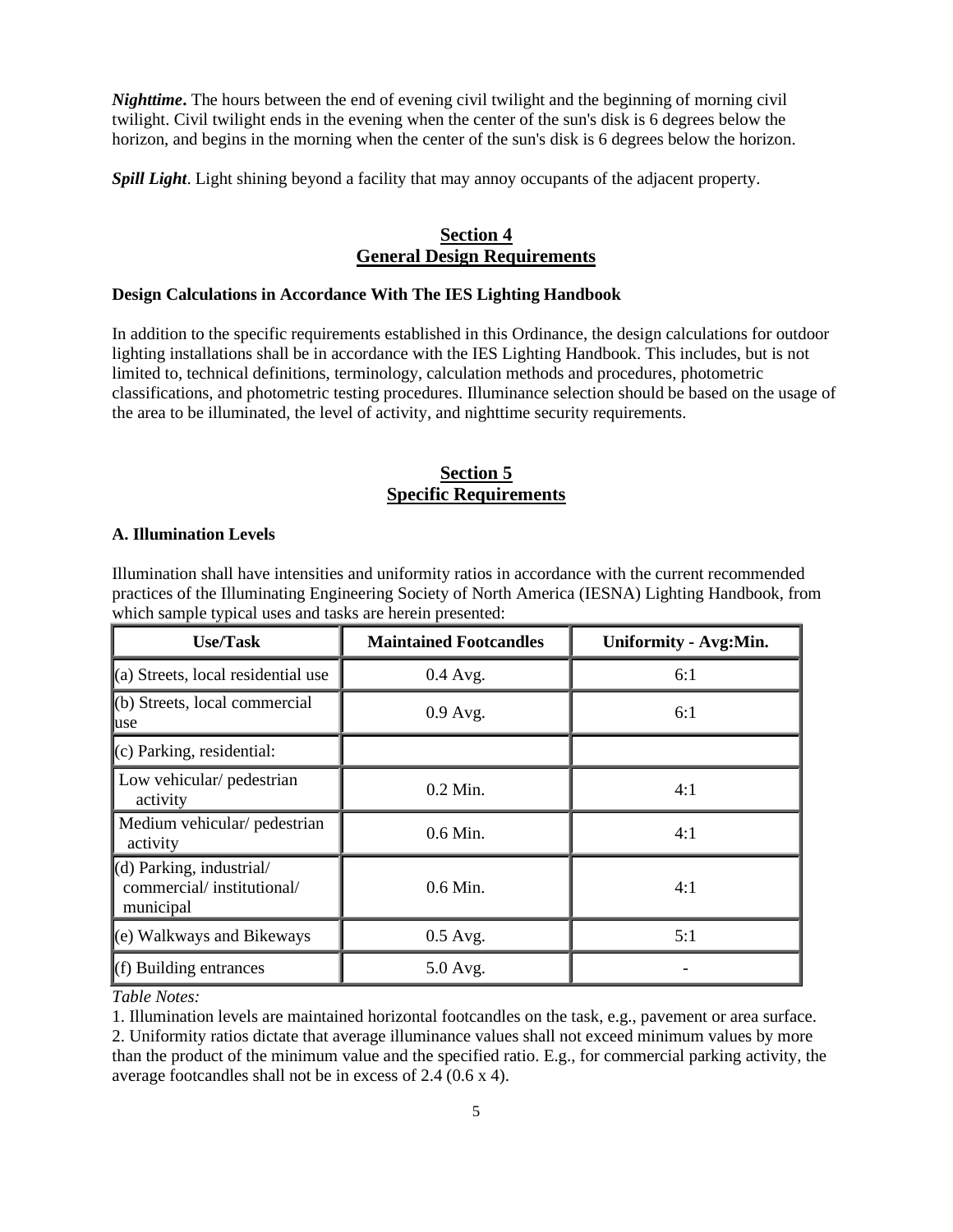*Nighttime***.** The hours between the end of evening civil twilight and the beginning of morning civil twilight. Civil twilight ends in the evening when the center of the sun's disk is 6 degrees below the horizon, and begins in the morning when the center of the sun's disk is 6 degrees below the horizon.

*Spill Light*. Light shining beyond a facility that may annoy occupants of the adjacent property.

# **Section 4 General Design Requirements**

## **Design Calculations in Accordance With The IES Lighting Handbook**

In addition to the specific requirements established in this Ordinance, the design calculations for outdoor lighting installations shall be in accordance with the IES Lighting Handbook. This includes, but is not limited to, technical definitions, terminology, calculation methods and procedures, photometric classifications, and photometric testing procedures. Illuminance selection should be based on the usage of the area to be illuminated, the level of activity, and nighttime security requirements.

# **Section 5 Specific Requirements**

#### **A. Illumination Levels**

Illumination shall have intensities and uniformity ratios in accordance with the current recommended practices of the Illuminating Engineering Society of North America (IESNA) Lighting Handbook, from which sample typical uses and tasks are herein presented:

| <b>Use/Task</b>                                                    | <b>Maintained Footcandles</b> | Uniformity - Avg:Min. |
|--------------------------------------------------------------------|-------------------------------|-----------------------|
| (a) Streets, local residential use                                 | $0.4$ Avg.                    | 6:1                   |
| $(b)$ Streets, local commercial<br>use                             | $0.9$ Avg.                    | 6:1                   |
| (c) Parking, residential:                                          |                               |                       |
| Low vehicular/ pedestrian<br>activity                              | $0.2$ Min.                    | 4:1                   |
| Medium vehicular/ pedestrian<br>activity                           | $0.6$ Min.                    | 4:1                   |
| (d) Parking, industrial/<br>commercial/institutional/<br>municipal | $0.6$ Min.                    | 4:1                   |
| (e) Walkways and Bikeways                                          | $0.5$ Avg.                    | 5:1                   |
| (f) Building entrances                                             | 5.0 Avg.                      |                       |

*Table Notes:*

1. Illumination levels are maintained horizontal footcandles on the task, e.g., pavement or area surface. 2. Uniformity ratios dictate that average illuminance values shall not exceed minimum values by more than the product of the minimum value and the specified ratio. E.g., for commercial parking activity, the average footcandles shall not be in excess of 2.4 (0.6 x 4).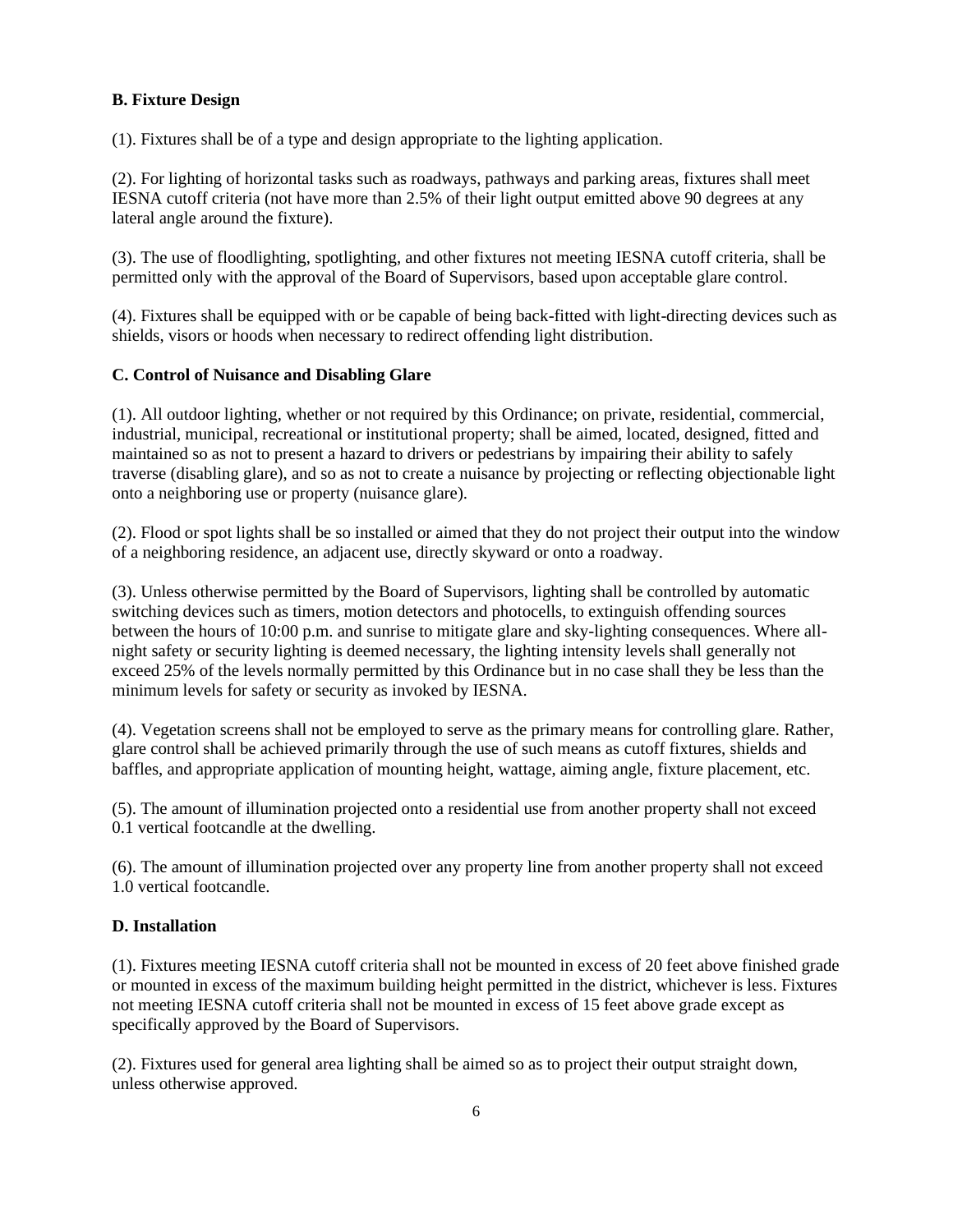# **B. Fixture Design**

(1). Fixtures shall be of a type and design appropriate to the lighting application.

(2). For lighting of horizontal tasks such as roadways, pathways and parking areas, fixtures shall meet IESNA cutoff criteria (not have more than 2.5% of their light output emitted above 90 degrees at any lateral angle around the fixture).

(3). The use of floodlighting, spotlighting, and other fixtures not meeting IESNA cutoff criteria, shall be permitted only with the approval of the Board of Supervisors, based upon acceptable glare control.

(4). Fixtures shall be equipped with or be capable of being back-fitted with light-directing devices such as shields, visors or hoods when necessary to redirect offending light distribution.

# **C. Control of Nuisance and Disabling Glare**

(1). All outdoor lighting, whether or not required by this Ordinance; on private, residential, commercial, industrial, municipal, recreational or institutional property; shall be aimed, located, designed, fitted and maintained so as not to present a hazard to drivers or pedestrians by impairing their ability to safely traverse (disabling glare), and so as not to create a nuisance by projecting or reflecting objectionable light onto a neighboring use or property (nuisance glare).

(2). Flood or spot lights shall be so installed or aimed that they do not project their output into the window of a neighboring residence, an adjacent use, directly skyward or onto a roadway.

(3). Unless otherwise permitted by the Board of Supervisors, lighting shall be controlled by automatic switching devices such as timers, motion detectors and photocells, to extinguish offending sources between the hours of 10:00 p.m. and sunrise to mitigate glare and sky-lighting consequences. Where allnight safety or security lighting is deemed necessary, the lighting intensity levels shall generally not exceed 25% of the levels normally permitted by this Ordinance but in no case shall they be less than the minimum levels for safety or security as invoked by IESNA.

(4). Vegetation screens shall not be employed to serve as the primary means for controlling glare. Rather, glare control shall be achieved primarily through the use of such means as cutoff fixtures, shields and baffles, and appropriate application of mounting height, wattage, aiming angle, fixture placement, etc.

(5). The amount of illumination projected onto a residential use from another property shall not exceed 0.1 vertical footcandle at the dwelling.

(6). The amount of illumination projected over any property line from another property shall not exceed 1.0 vertical footcandle.

# **D. Installation**

(1). Fixtures meeting IESNA cutoff criteria shall not be mounted in excess of 20 feet above finished grade or mounted in excess of the maximum building height permitted in the district, whichever is less. Fixtures not meeting IESNA cutoff criteria shall not be mounted in excess of 15 feet above grade except as specifically approved by the Board of Supervisors.

(2). Fixtures used for general area lighting shall be aimed so as to project their output straight down, unless otherwise approved.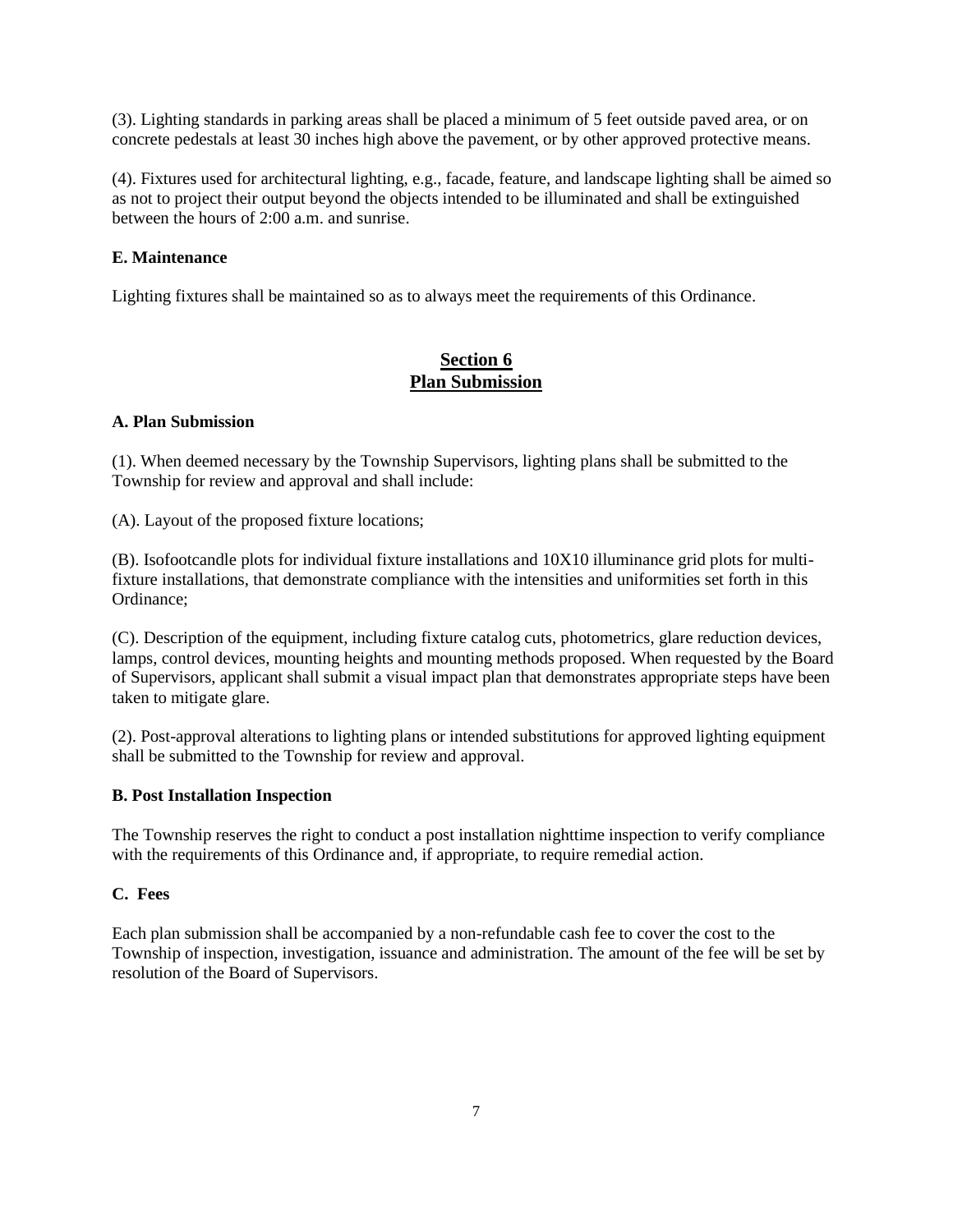(3). Lighting standards in parking areas shall be placed a minimum of 5 feet outside paved area, or on concrete pedestals at least 30 inches high above the pavement, or by other approved protective means.

(4). Fixtures used for architectural lighting, e.g., facade, feature, and landscape lighting shall be aimed so as not to project their output beyond the objects intended to be illuminated and shall be extinguished between the hours of 2:00 a.m. and sunrise.

# **E. Maintenance**

Lighting fixtures shall be maintained so as to always meet the requirements of this Ordinance.

# **Section 6 Plan Submission**

# **A. Plan Submission**

(1). When deemed necessary by the Township Supervisors, lighting plans shall be submitted to the Township for review and approval and shall include:

(A). Layout of the proposed fixture locations;

(B). Isofootcandle plots for individual fixture installations and 10X10 illuminance grid plots for multifixture installations, that demonstrate compliance with the intensities and uniformities set forth in this Ordinance;

(C). Description of the equipment, including fixture catalog cuts, photometrics, glare reduction devices, lamps, control devices, mounting heights and mounting methods proposed. When requested by the Board of Supervisors, applicant shall submit a visual impact plan that demonstrates appropriate steps have been taken to mitigate glare.

(2). Post-approval alterations to lighting plans or intended substitutions for approved lighting equipment shall be submitted to the Township for review and approval.

# **B. Post Installation Inspection**

The Township reserves the right to conduct a post installation nighttime inspection to verify compliance with the requirements of this Ordinance and, if appropriate, to require remedial action.

# **C. Fees**

Each plan submission shall be accompanied by a non-refundable cash fee to cover the cost to the Township of inspection, investigation, issuance and administration. The amount of the fee will be set by resolution of the Board of Supervisors.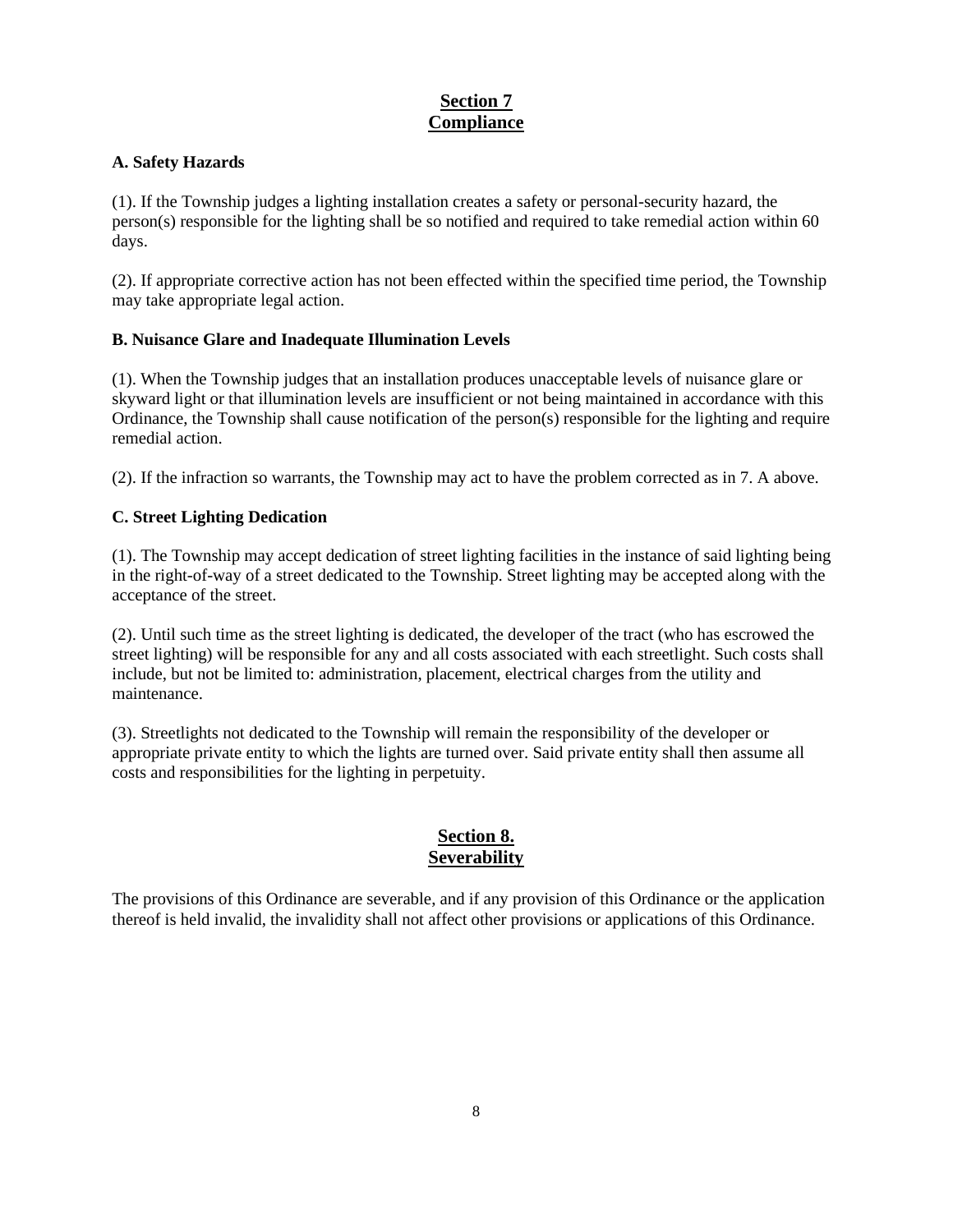# **Section 7 Compliance**

# **A. Safety Hazards**

(1). If the Township judges a lighting installation creates a safety or personal-security hazard, the person(s) responsible for the lighting shall be so notified and required to take remedial action within 60 days.

(2). If appropriate corrective action has not been effected within the specified time period, the Township may take appropriate legal action.

# **B. Nuisance Glare and Inadequate Illumination Levels**

(1). When the Township judges that an installation produces unacceptable levels of nuisance glare or skyward light or that illumination levels are insufficient or not being maintained in accordance with this Ordinance, the Township shall cause notification of the person(s) responsible for the lighting and require remedial action.

(2). If the infraction so warrants, the Township may act to have the problem corrected as in 7. A above.

# **C. Street Lighting Dedication**

(1). The Township may accept dedication of street lighting facilities in the instance of said lighting being in the right-of-way of a street dedicated to the Township. Street lighting may be accepted along with the acceptance of the street.

(2). Until such time as the street lighting is dedicated, the developer of the tract (who has escrowed the street lighting) will be responsible for any and all costs associated with each streetlight. Such costs shall include, but not be limited to: administration, placement, electrical charges from the utility and maintenance.

(3). Streetlights not dedicated to the Township will remain the responsibility of the developer or appropriate private entity to which the lights are turned over. Said private entity shall then assume all costs and responsibilities for the lighting in perpetuity.

# **Section 8. Severability**

The provisions of this Ordinance are severable, and if any provision of this Ordinance or the application thereof is held invalid, the invalidity shall not affect other provisions or applications of this Ordinance.